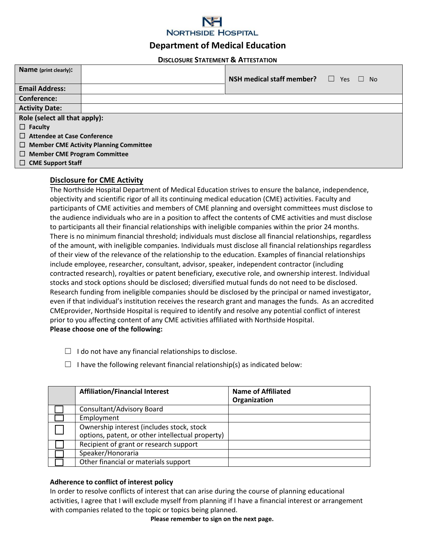

# **Department of Medical Education**

#### **DISCLOSURE STATEMENT & ATTESTATION**

| Name (print clearly):                         |  |                                  |                                        |  |
|-----------------------------------------------|--|----------------------------------|----------------------------------------|--|
|                                               |  | NSH medical staff member? $\Box$ | <b>Yes</b><br>N <sub>o</sub><br>$\Box$ |  |
| <b>Email Address:</b>                         |  |                                  |                                        |  |
| <b>Conference:</b>                            |  |                                  |                                        |  |
| <b>Activity Date:</b>                         |  |                                  |                                        |  |
| Role (select all that apply):                 |  |                                  |                                        |  |
| $\Box$ Faculty                                |  |                                  |                                        |  |
| $\Box$ Attendee at Case Conference            |  |                                  |                                        |  |
| $\Box$ Member CME Activity Planning Committee |  |                                  |                                        |  |
| <b>Member CME Program Committee</b><br>$\Box$ |  |                                  |                                        |  |
| <b>CME Support Staff</b><br>⊔                 |  |                                  |                                        |  |

### **Disclosure for CME Activity**

The Northside Hospital Department of Medical Education strives to ensure the balance, independence, objectivity and scientific rigor of all its continuing medical education (CME) activities. Faculty and participants of CME activities and members of CME planning and oversight committees must disclose to the audience individuals who are in a position to affect the contents of CME activities and must disclose to participants all their financial relationships with ineligible companies within the prior 24 months. There is no minimum financial threshold; individuals must disclose all financial relationships, regardless of the amount, with ineligible companies. Individuals must disclose all financial relationships regardless of their view of the relevance of the relationship to the education. Examples of financial relationships include employee, researcher, consultant, advisor, speaker, independent contractor (including contracted research), royalties or patent beneficiary, executive role, and ownership interest. Individual stocks and stock options should be disclosed; diversified mutual funds do not need to be disclosed. Research funding from ineligible companies should be disclosed by the principal or named investigator, even if that individual's institution receives the research grant and manages the funds. As an accredited CMEprovider, Northside Hospital is required to identify and resolve any potential conflict of interest prior to you affecting content of any CME activities affiliated with Northside Hospital. **Please choose one of the following:** 

- $\Box$  I do not have any financial relationships to disclose.
- $\Box$  I have the following relevant financial relationship(s) as indicated below:

| <b>Affiliation/Financial Interest</b>                                                         | <b>Name of Affiliated</b><br>Organization |
|-----------------------------------------------------------------------------------------------|-------------------------------------------|
| Consultant/Advisory Board                                                                     |                                           |
| Employment                                                                                    |                                           |
| Ownership interest (includes stock, stock<br>options, patent, or other intellectual property) |                                           |
| Recipient of grant or research support                                                        |                                           |
| Speaker/Honoraria                                                                             |                                           |
| Other financial or materials support                                                          |                                           |

### **Adherence to conflict of interest policy**

In order to resolve conflicts of interest that can arise during the course of planning educational activities, I agree that I will exclude myself from planning if I have a financial interest or arrangement with companies related to the topic or topics being planned.

**Please remember to sign on the next page.**